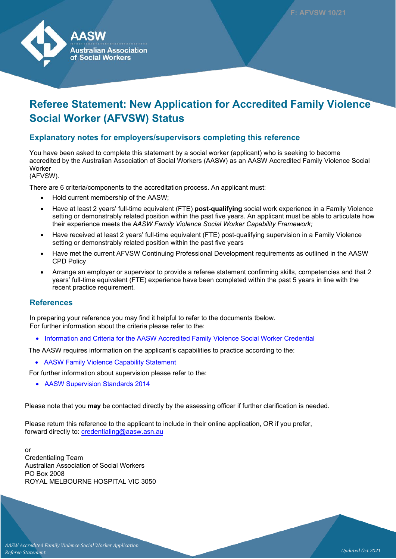

# **Referee Statement: New Application for Accredited Family Violence Social Worker (AFVSW) Status**

### **Explanatory notes for employers/supervisors completing this reference**

You have been asked to complete this statement by a social worker (applicant) who is seeking to become accredited by the Australian Association of Social Workers (AASW) as an AASW Accredited Family Violence Social **Worker** 

(AFVSW).

There are 6 criteria/components to the accreditation process. An applicant must:

- Hold current membership of the AASW;
- Have at least 2 years' full-time equivalent (FTE) **post-qualifying** social work experience in a Family Violence setting or demonstrably related position within the past five years. An applicant must be able to articulate how their experience meets the *AASW Family Violence Social Worker Capability Framework;*
- Have received at least 2 years' full-time equivalent (FTE) post-qualifying supervision in a Family Violence setting or demonstrably related position within the past five years
- Have met the current AFVSW Continuing Professional Development requirements as outlined in the AASW CPD Policy
- Arrange an employer or supervisor to provide a referee statement confirming skills, competencies and that 2 years' full-time equivalent (FTE) experience have been completed within the past 5 years in line with the recent practice requirement.

#### **References**

In preparing your reference you may find it helpful to refer to the documents tbelow. For further information about the criteria please refer to the:

• [Information and Criteria for the AASW Accredited Family Violence Social Worker Credential](https://www.aasw.asn.au/document/item/10953)

The AASW requires information on the applicant's capabilities to practice according to the:

• [AASW Family Violence Capability Statement](https://www.aasw.asn.au/document/item/10951.)

For further information about supervision please refer to the:

• [AASW Supervision Standards 2014](https://www.aasw.asn.au/document/item/6027)

Please note that you **may** be contacted directly by the assessing officer if further clarification is needed.

Please return this reference to the applicant to include in their online application, OR if you prefer, forward directly to: credentialing@aasw.asn.au

or Credentialing Team Australian Association of Social Workers PO Box 2008 ROYAL MELBOURNE HOSPITAL VIC 3050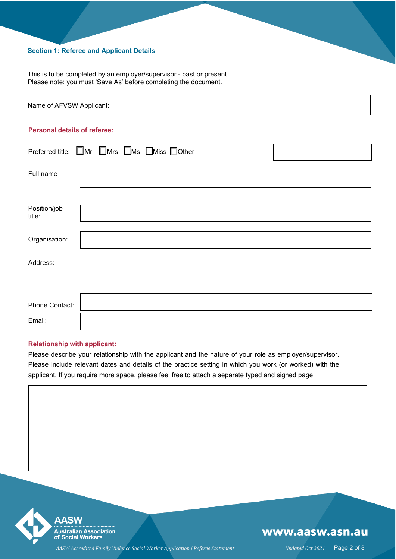#### **Section 1: Referee and Applicant Details**

This is to be completed by an employer/supervisor - past or present. Please note: you must 'Save As' before completing the document.

| Name of AFVSW Applicant: |  |
|--------------------------|--|
|                          |  |

#### **Personal details of referee:**

|                        | Preferred title: $\Box$ Mr $\Box$ Mrs $\Box$ Ms $\Box$ Miss $\Box$ Other |  |
|------------------------|--------------------------------------------------------------------------|--|
| Full name              |                                                                          |  |
| Position/job<br>title: |                                                                          |  |
| Organisation:          |                                                                          |  |
| Address:               |                                                                          |  |
|                        |                                                                          |  |
| Phone Contact:         |                                                                          |  |
| Email:                 |                                                                          |  |

#### **Relationship with applicant:**

Please describe your relationship with the applicant and the nature of your role as employer/supervisor. Please include relevant dates and details of the practice setting in which you work (or worked) with the applicant. If you require more space, please feel free to attach a separate typed and signed page.

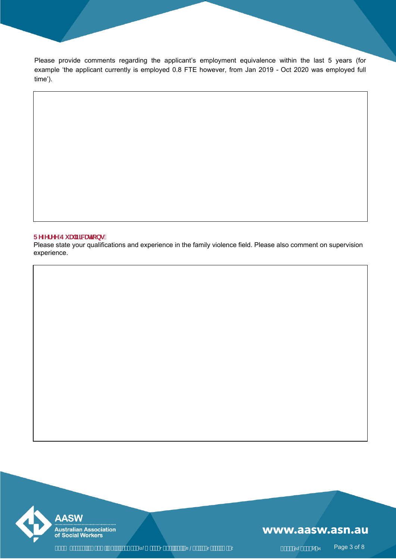Please provide comments regarding the applicant's employment equivalence within the last 5 years (for example 'the applicant currently is employed 0.8 FTE however, from Jan 2019 - Oct 2020 was employed full time').

#### **FYZYFYY'Ei U]ZWLHcbg.**

Please state your qualifications and experience in the family violence field. Please also comment on supervision experience.



### www.aasw.asn.au

 *ial r n | e t ed Ͷͷ* Page 3 of 8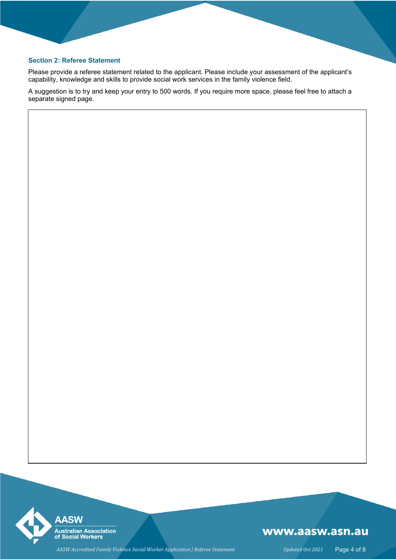#### **Section 2: Referee Statement**

Please provide a referee statement related to the applicant. Please include your assessment of the applicant's capability, knowledge and skills to provide social work services in the family violence field.

A suggestion is to try and keep your entry to 500 words. If you require more space, please feel free to attach a separate signed page.



# www.aasw.asn.au

AASW Accredited Family Violence Social Worker Application | Referee Statement Updated Oct 2021 Page 4 of 8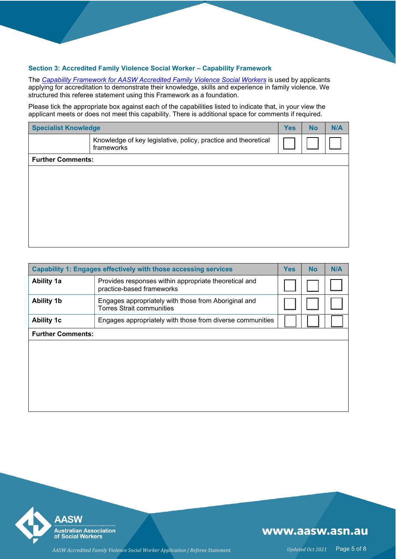#### **Section 3: Accredited Family Violence Social Worker – Capability Framework**

The *Capability Framework for AASW [Accredited Family](https://www.aasw.asn.au/document/item/10951) Violence Social Worker[s](https://www.aasw.asn.au/document/item/10951)* is used by applicants applying for accreditation to demonstrate their knowledge, skills and experience in family violence. We structured this referee statement using this Framework as a foundation.

Please tick the appropriate box against each of the capabilities listed to indicate that, in your view the applicant meets or does not meet this capability. There is additional space for comments if required.

| <b>Specialist Knowledge</b> |                                                                              | <b>Yes</b> | <b>No</b> | N/A |
|-----------------------------|------------------------------------------------------------------------------|------------|-----------|-----|
|                             | Knowledge of key legislative, policy, practice and theoretical<br>frameworks |            |           |     |
| <b>Further Comments:</b>    |                                                                              |            |           |     |
|                             |                                                                              |            |           |     |
|                             |                                                                              |            |           |     |
|                             |                                                                              |            |           |     |
|                             |                                                                              |            |           |     |
|                             |                                                                              |            |           |     |
|                             |                                                                              |            |           |     |
|                             |                                                                              |            |           |     |

| <b>Capability 1: Engages effectively with those accessing services</b> |                                                                                          |  | <b>No</b> | N/A |
|------------------------------------------------------------------------|------------------------------------------------------------------------------------------|--|-----------|-----|
| <b>Ability 1a</b>                                                      | Provides responses within appropriate theoretical and<br>practice-based frameworks       |  |           |     |
| <b>Ability 1b</b>                                                      | Engages appropriately with those from Aboriginal and<br><b>Torres Strait communities</b> |  |           |     |
| <b>Ability 1c</b>                                                      | Engages appropriately with those from diverse communities                                |  |           |     |
| <b>Further Comments:</b>                                               |                                                                                          |  |           |     |
|                                                                        |                                                                                          |  |           |     |
|                                                                        |                                                                                          |  |           |     |
|                                                                        |                                                                                          |  |           |     |
|                                                                        |                                                                                          |  |           |     |
|                                                                        |                                                                                          |  |           |     |

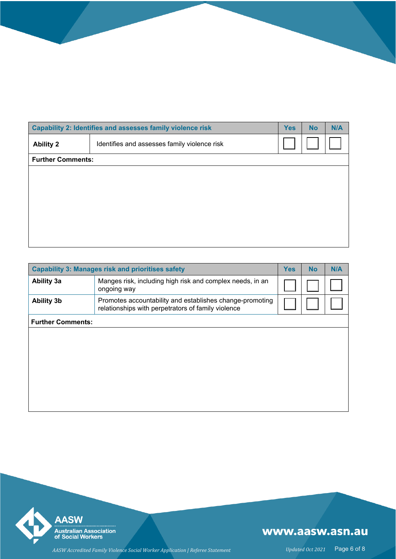|                          | Capability 2: Identifies and assesses family violence risk |  |  | N/A |
|--------------------------|------------------------------------------------------------|--|--|-----|
| <b>Ability 2</b>         | Identifies and assesses family violence risk               |  |  |     |
| <b>Further Comments:</b> |                                                            |  |  |     |
|                          |                                                            |  |  |     |
|                          |                                                            |  |  |     |
|                          |                                                            |  |  |     |
|                          |                                                            |  |  |     |
|                          |                                                            |  |  |     |
|                          |                                                            |  |  |     |

| <b>Capability 3: Manages risk and prioritises safety</b> |                                                                                                                |  | <b>No</b> | N/A |
|----------------------------------------------------------|----------------------------------------------------------------------------------------------------------------|--|-----------|-----|
| <b>Ability 3a</b>                                        | Manges risk, including high risk and complex needs, in an<br>ongoing way                                       |  |           |     |
| <b>Ability 3b</b>                                        | Promotes accountability and establishes change-promoting<br>relationships with perpetrators of family violence |  |           |     |
| <b>Further Comments:</b>                                 |                                                                                                                |  |           |     |
|                                                          |                                                                                                                |  |           |     |
|                                                          |                                                                                                                |  |           |     |
|                                                          |                                                                                                                |  |           |     |
|                                                          |                                                                                                                |  |           |     |
|                                                          |                                                                                                                |  |           |     |

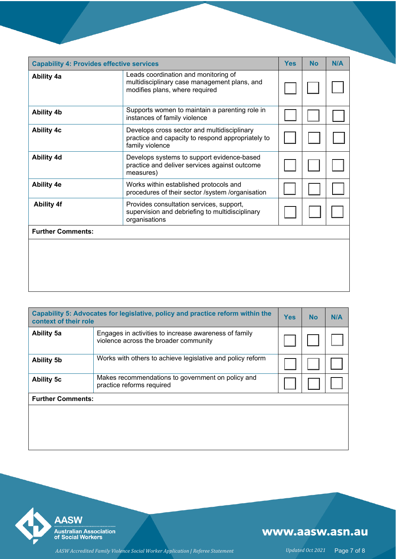| <b>Capability 4: Provides effective services</b> |                                                                                                                        | <b>Yes</b> | <b>No</b> | N/A |
|--------------------------------------------------|------------------------------------------------------------------------------------------------------------------------|------------|-----------|-----|
| <b>Ability 4a</b>                                | Leads coordination and monitoring of<br>multidisciplinary case management plans, and<br>modifies plans, where required |            |           |     |
| <b>Ability 4b</b>                                | Supports women to maintain a parenting role in<br>instances of family violence                                         |            |           |     |
| <b>Ability 4c</b>                                | Develops cross sector and multidisciplinary<br>practice and capacity to respond appropriately to<br>family violence    |            |           |     |
| <b>Ability 4d</b>                                | Develops systems to support evidence-based<br>practice and deliver services against outcome<br>measures)               |            |           |     |
| <b>Ability 4e</b>                                | Works within established protocols and<br>procedures of their sector /system /organisation                             |            |           |     |
| <b>Ability 4f</b>                                | Provides consultation services, support,<br>supervision and debriefing to multidisciplinary<br>organisations           |            |           |     |
| <b>Further Comments:</b>                         |                                                                                                                        |            |           |     |
|                                                  |                                                                                                                        |            |           |     |

| Capability 5: Advocates for legislative, policy and practice reform within the<br>context of their role |                                                                                                |  | <b>No</b> | N/A |
|---------------------------------------------------------------------------------------------------------|------------------------------------------------------------------------------------------------|--|-----------|-----|
| <b>Ability 5a</b>                                                                                       | Engages in activities to increase awareness of family<br>violence across the broader community |  |           |     |
| <b>Ability 5b</b>                                                                                       | Works with others to achieve legislative and policy reform                                     |  |           |     |
| Makes recommendations to government on policy and<br><b>Ability 5c</b><br>practice reforms required     |                                                                                                |  |           |     |
| <b>Further Comments:</b>                                                                                |                                                                                                |  |           |     |
|                                                                                                         |                                                                                                |  |           |     |